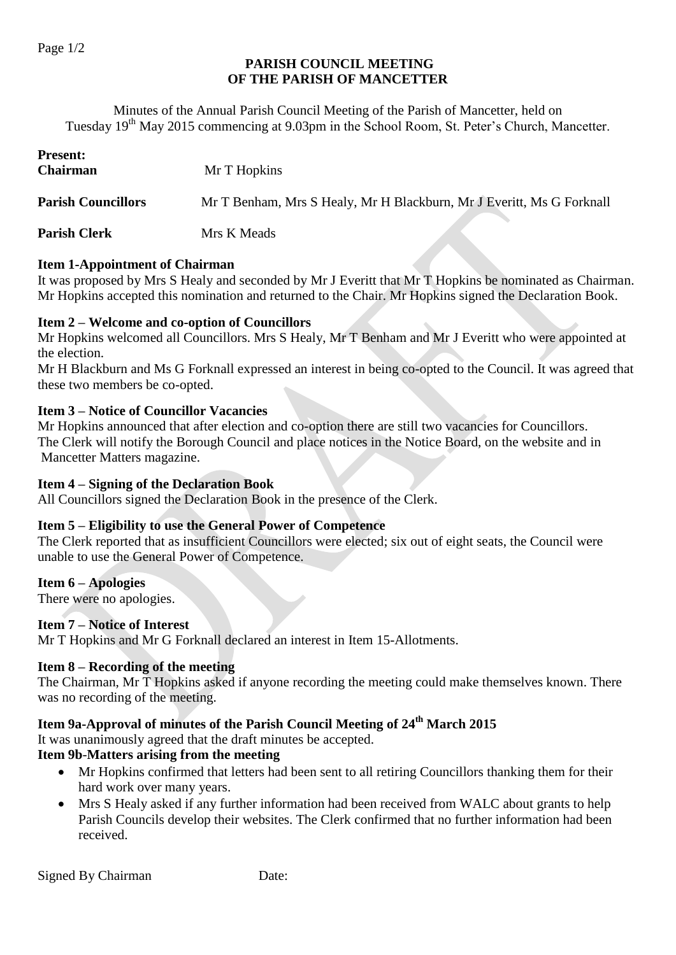### **PARISH COUNCIL MEETING OF THE PARISH OF MANCETTER**

Minutes of the Annual Parish Council Meeting of the Parish of Mancetter, held on Tuesday 19<sup>th</sup> May 2015 commencing at 9.03pm in the School Room, St. Peter's Church, Mancetter.

| <b>Present:</b><br><b>Chairman</b> | Mr T Hopkins                                                          |
|------------------------------------|-----------------------------------------------------------------------|
| <b>Parish Councillors</b>          | Mr T Benham, Mrs S Healy, Mr H Blackburn, Mr J Everitt, Ms G Forknall |
| <b>Parish Clerk</b>                | Mrs K Meads                                                           |

#### **Item 1-Appointment of Chairman**

It was proposed by Mrs S Healy and seconded by Mr J Everitt that Mr T Hopkins be nominated as Chairman. Mr Hopkins accepted this nomination and returned to the Chair. Mr Hopkins signed the Declaration Book.

#### **Item 2 – Welcome and co-option of Councillors**

Mr Hopkins welcomed all Councillors. Mrs S Healy, Mr T Benham and Mr J Everitt who were appointed at the election.

Mr H Blackburn and Ms G Forknall expressed an interest in being co-opted to the Council. It was agreed that these two members be co-opted.

#### **Item 3 – Notice of Councillor Vacancies**

Mr Hopkins announced that after election and co-option there are still two vacancies for Councillors. The Clerk will notify the Borough Council and place notices in the Notice Board, on the website and in Mancetter Matters magazine.

#### **Item 4 – Signing of the Declaration Book**

All Councillors signed the Declaration Book in the presence of the Clerk.

#### **Item 5 – Eligibility to use the General Power of Competence**

The Clerk reported that as insufficient Councillors were elected; six out of eight seats, the Council were unable to use the General Power of Competence.

#### **Item 6 – Apologies**

There were no apologies.

#### **Item 7 – Notice of Interest**

Mr T Hopkins and Mr G Forknall declared an interest in Item 15-Allotments.

#### **Item 8 – Recording of the meeting**

The Chairman, Mr T Hopkins asked if anyone recording the meeting could make themselves known. There was no recording of the meeting.

### **Item 9a-Approval of minutes of the Parish Council Meeting of 24 th March 2015**

It was unanimously agreed that the draft minutes be accepted.

#### **Item 9b**-**Matters arising from the meeting**

- Mr Hopkins confirmed that letters had been sent to all retiring Councillors thanking them for their hard work over many years.
- Mrs S Healy asked if any further information had been received from WALC about grants to help Parish Councils develop their websites. The Clerk confirmed that no further information had been received.